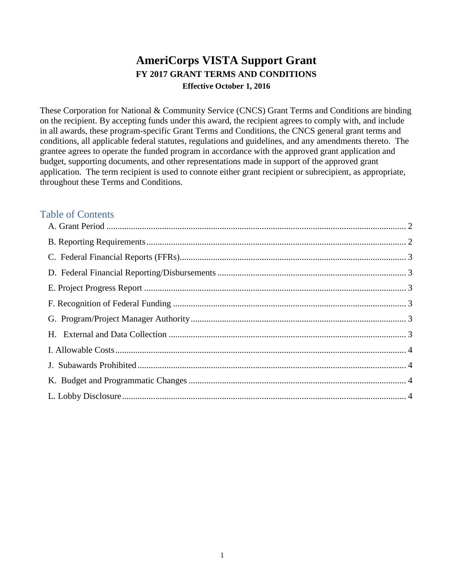# **AmeriCorps VISTA Support Grant FY 2017 GRANT TERMS AND CONDITIONS Effective October 1, 2016**

These Corporation for National & Community Service (CNCS) Grant Terms and Conditions are binding on the recipient. By accepting funds under this award, the recipient agrees to comply with, and include in all awards, these program-specific Grant Terms and Conditions, the CNCS general grant terms and conditions, all applicable federal statutes, regulations and guidelines, and any amendments thereto. The grantee agrees to operate the funded program in accordance with the approved grant application and budget, supporting documents, and other representations made in support of the approved grant application. The term recipient is used to connote either grant recipient or subrecipient, as appropriate, throughout these Terms and Conditions.

# Table of Contents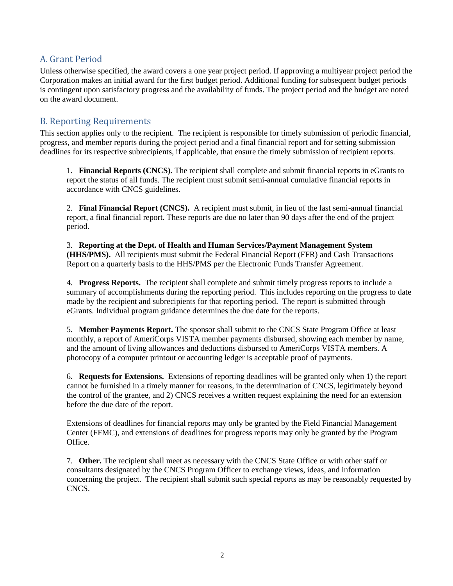## <span id="page-1-0"></span>A. Grant Period

Unless otherwise specified, the award covers a one year project period. If approving a multiyear project period the Corporation makes an initial award for the first budget period. Additional funding for subsequent budget periods is contingent upon satisfactory progress and the availability of funds. The project period and the budget are noted on the award document.

## <span id="page-1-1"></span>B. Reporting Requirements

This section applies only to the recipient. The recipient is responsible for timely submission of periodic financial, progress, and member reports during the project period and a final financial report and for setting submission deadlines for its respective subrecipients, if applicable, that ensure the timely submission of recipient reports.

1. **Financial Reports (CNCS).** The recipient shall complete and submit financial reports in eGrants to report the status of all funds. The recipient must submit semi-annual cumulative financial reports in accordance with CNCS guidelines.

2. **Final Financial Report (CNCS).** A recipient must submit, in lieu of the last semi-annual financial report, a final financial report. These reports are due no later than 90 days after the end of the project period.

3. **Reporting at the Dept. of Health and Human Services/Payment Management System (HHS/PMS).** All recipients must submit the Federal Financial Report (FFR) and Cash Transactions Report on a quarterly basis to the HHS/PMS per the Electronic Funds Transfer Agreement.

4. **Progress Reports.** The recipient shall complete and submit timely progress reports to include a summary of accomplishments during the reporting period. This includes reporting on the progress to date made by the recipient and subrecipients for that reporting period. The report is submitted through eGrants. Individual program guidance determines the due date for the reports.

5. **Member Payments Report.** The sponsor shall submit to the CNCS State Program Office at least monthly, a report of AmeriCorps VISTA member payments disbursed, showing each member by name, and the amount of living allowances and deductions disbursed to AmeriCorps VISTA members. A photocopy of a computer printout or accounting ledger is acceptable proof of payments.

6. **Requests for Extensions.** Extensions of reporting deadlines will be granted only when 1) the report cannot be furnished in a timely manner for reasons, in the determination of CNCS, legitimately beyond the control of the grantee, and 2) CNCS receives a written request explaining the need for an extension before the due date of the report.

Extensions of deadlines for financial reports may only be granted by the Field Financial Management Center (FFMC), and extensions of deadlines for progress reports may only be granted by the Program Office.

7. **Other.** The recipient shall meet as necessary with the CNCS State Office or with other staff or consultants designated by the CNCS Program Officer to exchange views, ideas, and information concerning the project. The recipient shall submit such special reports as may be reasonably requested by CNCS.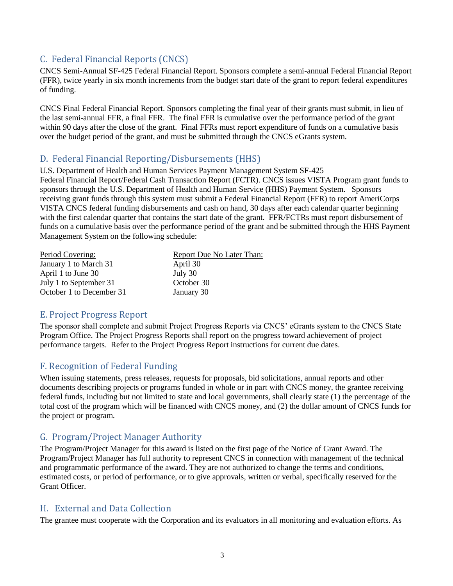# <span id="page-2-0"></span>C. Federal Financial Reports (CNCS)

CNCS Semi-Annual SF-425 Federal Financial Report. Sponsors complete a semi-annual Federal Financial Report (FFR), twice yearly in six month increments from the budget start date of the grant to report federal expenditures of funding.

CNCS Final Federal Financial Report. Sponsors completing the final year of their grants must submit, in lieu of the last semi-annual FFR, a final FFR. The final FFR is cumulative over the performance period of the grant within 90 days after the close of the grant. Final FFRs must report expenditure of funds on a cumulative basis over the budget period of the grant, and must be submitted through the CNCS eGrants system.

#### <span id="page-2-1"></span>D. Federal Financial Reporting/Disbursements (HHS)

U.S. Department of Health and Human Services Payment Management System SF-425 Federal Financial Report/Federal Cash Transaction Report (FCTR). CNCS issues VISTA Program grant funds to sponsors through the U.S. Department of Health and Human Service (HHS) Payment System. Sponsors receiving grant funds through this system must submit a Federal Financial Report (FFR) to report AmeriCorps VISTA CNCS federal funding disbursements and cash on hand, 30 days after each calendar quarter beginning with the first calendar quarter that contains the start date of the grant. FFR/FCTRs must report disbursement of funds on a cumulative basis over the performance period of the grant and be submitted through the HHS Payment Management System on the following schedule:

| Period Covering:         | Report Due No Later Than: |
|--------------------------|---------------------------|
| January 1 to March 31    | April 30                  |
| April 1 to June 30       | July 30                   |
| July 1 to September 31   | October 30                |
| October 1 to December 31 | January 30                |

## <span id="page-2-2"></span>E. Project Progress Report

The sponsor shall complete and submit Project Progress Reports via CNCS' eGrants system to the CNCS State Program Office. The Project Progress Reports shall report on the progress toward achievement of project performance targets. Refer to the Project Progress Report instructions for current due dates.

## <span id="page-2-3"></span>F. Recognition of Federal Funding

When issuing statements, press releases, requests for proposals, bid solicitations, annual reports and other documents describing projects or programs funded in whole or in part with CNCS money, the grantee receiving federal funds, including but not limited to state and local governments, shall clearly state (1) the percentage of the total cost of the program which will be financed with CNCS money, and (2) the dollar amount of CNCS funds for the project or program.

## <span id="page-2-4"></span>G. Program/Project Manager Authority

The Program/Project Manager for this award is listed on the first page of the Notice of Grant Award. The Program/Project Manager has full authority to represent CNCS in connection with management of the technical and programmatic performance of the award. They are not authorized to change the terms and conditions, estimated costs, or period of performance, or to give approvals, written or verbal, specifically reserved for the Grant Officer.

#### <span id="page-2-5"></span>H. External and Data Collection

The grantee must cooperate with the Corporation and its evaluators in all monitoring and evaluation efforts. As